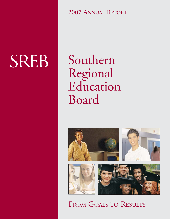**SREB** 

2007 ANNUAL REPORT

Southern Regional Education Board



FROM GOALS TO RESULTS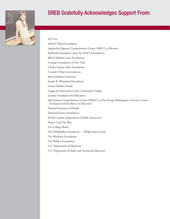

# SREB Gratefully Acknowledges Support From:

### ACT Inc.

Alfred P. Sloan Foundation Appalachia Regional Comprehensive Center (ARCC) at Edvantia BellSouth Foundation (now the AT&T Foundation) Bill & Melinda Gates Foundation Carnegie Foundation of New York Charles Stewart Mott Foundation Council of State Governments Johns Hopkins University Joseph B. Whitehead Foundation Lamar Plunkett Family League for Innovation in the Community College Lumina Foundation for Education Mid-Atlantic Comprehensive Center (MACC) at The George Washington University Center for Equity and Excellence in Education National Institutes of Health National Science Foundation North Carolina Department of Public Instruction Project Lead The Way The College Board The Philadelphia Foundation — Wright-Hayre Fund The Wachovia Foundation The Wallace Foundation U.S. Department of Education U.S. Department of Adult and Vocational Education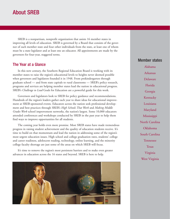# About SREB

SREB is a nonpartisan, nonprofit organization that assists 16 member states in improving all levels of education. SREB is governed by a Board that consists of the governor of each member state and four other individuals from the state, at least one of whom must be a state legislator and at least one an educator. All appointments are made by the governors for four-year, staggered terms.

### The Year at a Glance

In this new century, the Southern Regional Education Board is working with its member states to raise the region's educational levels to heights never deemed possible when governors and legislators founded it in 1948. From prekindergarten through graduate school — and from state capitals to rural classrooms — SREB's policy research, programs and services are helping member states lead the nation in educational progress. SREB's *Challenge to Lead* Goals for Education are a powerful guide for this work.

Governors and legislators look to SREB for policy guidance and recommendations. Hundreds of the region's leaders gather each year to share ideas for educational improvement at SREB-sponsored events. Educators across the nation seek professional development and best practices through SREB's *High Schools That Work* and *Making Middle Grades Work* school improvement networks, the nation's largest. Some 10,000 educators attended conferences and workshops conducted by SREB in the past year to help them find ways to improve opportunities for all students.

The coming year holds even more promise. Most SREB states have made tremendous progress in raising student achievement and the quality of education students receive. It's time to build on that momentum and lead the nation in addressing some of the region's most urgent education issues. High school and college graduation rates, students' college and career readiness, adolescent reading, technology, online learning, and the minority college faculty shortage are just some of the areas on which SREB will focus.

It's time to remove the region's most persistent barriers and to make even greater advances in education across the 16 states and beyond. SREB is here to help.



### Member states

Alabama Arkansas Delaware Florida Georgia Kentucky Louisiana Maryland Mississippi North Carolina Oklahoma South Carolina Tennessee Texas Virginia West Virginia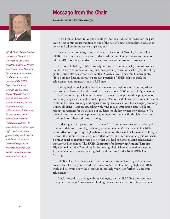

*SREB Chair Sonny Perdue was elected Georgia's 81st Governor in 2002 and reelected in 2006. A former state Senator and President Pro Tempore of the Senate, he also has served as a member of the SREB Legislative Advisory Council. He has made public education his top priority and has pushed to raise the quality of state programs that affect children's lives. As Governor, he won support for the nation's first statewide "graduation coaches," to assist students in all Georgia high schools and middle grades as they work toward a diploma. He also has developed programs to recognize principals' and teachers' success in raising student acheivement.*

# Message from the Chair

**Governor Sonny Perdue, Georgia**

It has been an honor to lead the Southern Regional Education Board for the past year. SREB continues its tradition as one of the nation's most accomplished education policy and school improvement organizations.

Previously, as a state legislator, and now as Governor of Georgia, I have utilized SREB to help our state make great strides in education. Southern states continue to call on SREB for policy guidance, research and school improvement strategies.

This year, I challenged SREB to help us move even more quickly toward practical, useful solutions to some of our region's most pressing education challenges. One of my guiding principles has always been football Coach Vince Lombardi's famous quote, "If you are not keeping score, you are just practicing." SREB helps us track the achievement and progress in each SREB state.

Raising high school graduation rates is one of our region's most daunting education issues. In Georgia, I worked with state legislators in 2006 to provide "graduation coaches" for every high school in the state. This is a first step toward helping more of our young people earn a high school diploma. Without a diploma, most students cannot continue the career training and higher learning necessary in our fast-changing economy. I know all SREB states are struggling with ways to raise graduation rates, while still raising expectations for what skills our students should have when they graduate. We can and must do more to help increasing numbers of students finish high school and continue into college and career training.

In that light, I am pleased to chair a new SREB committee that will develop policy recommendations to raise high school graduation rates *and* achievement. The **SREB Committee for Improving High School Graduation Rates and Achievement** will begin its work this summer. I am also pleased that Governor Tim Kaine of Virginia will chair a similar panel to examine state policies that will lead to higher reading achievement throughout high school. The **SREB Committee for Improving Reading Through High School** and the Committee for Improving High School Graduation Rates and Achievement anticipate completing their work in time for the 2008 SREB Annual Meeting.

SREB will work with any state leader who wants to implement good education policy ideas. I invite you to read this *Annual Report*, explore the highlights of SREB's work and determine how the organization can help your state further its academic achievement.

I look forward to working with my colleagues on the SREB Board to continue to strengthen our region's work toward leading the nation in educational improvement.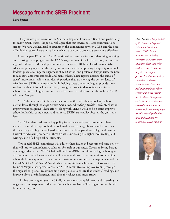# Message from the SREB President

**Dave Spence**

This year was productive for the Southern Regional Education Board and particularly for many SREB states. I hope you will agree that our services to states continued to be strong. We have worked hard to strengthen the connections between SREB and the needs of individual states. Please let us know what we can do to serve you even more effectively.

Over the past 12 months, SREB continued to focus its efforts on advocating, tracking and assisting states' progress on the 12 *Challenge to Lead* Goals for Education, encompassing prekindergarten through postsecondary education. SREB published many notable education policy reports in the past year on issues such as improving the quality of school leadership, state testing, the alignment of K-12 school and postsecondary policies, the need to raise state academic standards, and many others. These reports describe the status of states' improvement efforts and identify practices that are showing the best evidence of effectiveness. SREB remained a leader in helping states use technology to provide more students with a high-quality education, through its work in developing state virtual schools and in enabling postsecondary students to take online courses through the SREB *Electronic Campus*.

SREB also continued to be a national force at the individual school and school district levels through its *High Schools That Work* and *Making Middle Grades Work* school improvement programs. These efforts, along with SREB's work to help states improve school leadership, complement and reinforce SREB's state policy focus at the grassroots level.

SREB has identified several key policy issues that need special attention. These include the need to improve high school graduation rates significantly and to increase the percentages of high school graduates who are well-prepared for college and careers. Critical to advancing on both of these fronts is increasing the higher-level reading and writing skills of all high school students.

Two special SREB committees will address these issues and recommend state policies that will lead to comprehensive solutions for each of our states. Governor Sonny Perdue of Georgia, the current SREB Chair, will lead an SREB committee on high school graduation rates and achievement that will recommend how states can work to raise high school diploma requirements, increase graduation rates and meet the requirements of the federal *No Child Left Behind Act*, all while raising student achievement. Governor Tim Kaine of Virginia has agreed to chair an SREB committee to improve reading through the high school grades, recommending state policies to ensure that students' reading skills improve, from prekindergarten until time for college and career study.

This has been a good year for SREB, in terms of accomplishments and in setting the stage for strong responses to the most intractable problems still facing our states. It will be an exciting year.

*Dave Spence is the president of the Southern Regional Education Board. He advises SREB Board members — including governors, legislators, state education chiefs and other leaders — in 16 states as they strive to improve pre-K-12 and postsecondary education. A former executive vice chancellor and chief academic officer of state university systems in Florida and California, and a former executive vice chancellor in Georgia, he advocates for improving high school students' graduation rates and readiness for college and career training.* 

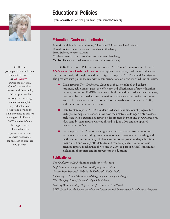

SREB states participated in a multistate cooperative effort the **Go** *Alliance* during the past year. Go *Alliance* members develop and share radio, TV and print media campaigns to encourage students to complete high school, attend college and develop the skills they need to achieve these goals. In February 2007, the Go *Alliance* also began a series of workshops for representatives of state agencies responsible for outreach to students and parents.

# Educational Policies

**Lynn Cornett**, senior vice president: lynn.cornett@sreb.org

## Education Goals and Indicators

**Joan M. Lord,** interim senior director, Educational Policies: joan.lord@sreb.org **Crystal Collins,** research associate: crystal.collins@sreb.org **Jenny Jackson,** research associate **Matthew Lenard,** research associate: matthew.lenard@sreb.org **Marilyn Thomas,** research associate: marilyn.thomas@sreb.org

SREB's Educational Policies team tracks each SREB state's progress toward the 12 *Challenge to Lead* **Goals for Education** and updates state policy-makers and education leaders continually, through three different types of reports. SREB's new *Action Agenda* also provides state policy-makers with recommendations on a variety of education issues.

- Goals reports: The *Challenge to Lead* goals focus on school and college readiness, achievement gaps, the efficiency and effectiveness of state education systems, and more. If SREB states are to lead the nation in educational progress, they must be measured against the nation in these areas and make continuous gains. The first series of reports on each of the goals was completed in 2006, and the second series is under way.
- State-by-state reports: SREB has identified specific indicators of progress for each goal to help state leaders know how their states are doing. SREB provides each state with a customized report on its progress in print and at www.sreb.org. New state-by-state reports were published in June 2006 and are updated regularly on the Web.
- Focus reports: SREB continues to give special attention to issues important to member states, including student achievement (particularly in reading and mathematics), accountability, students' readiness for postsecondary education, financial aid and college affordability, and teacher quality. A series of issueoriented reports is scheduled for release in 2007 as part of SREB's continuous evaluation of progress and improvements in education.

### **Publications:**

The *Challenge to Lead* education goals series of reports *High School to College and Careers: Aligning State Policies Getting State Standards Right in the Early and Middle Grades Improving ACT and SAT Scores: Making Progress, Facing Challenges The Changing Roles of Statewide High School Exams Clearing Paths to College Degrees: Transfer Policies in SREB States SREB States Lead the Nation in Advanced Placement and International Baccalaureate Programs*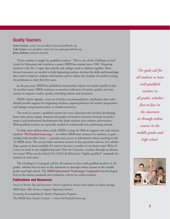## Quality Teachers

**Lynn Cornett,** senior vice president: lynn.cornett@sreb.org **Gale Gaines,** vice president, State Services: gale.gaines@sreb.org **Jenny Jackson,** research associate

"Every student is taught by qualified teachers." This is one of the *Challenge to Lead* Goals for Education and reinforces a point SREB has stressed since 1981: Preparing teachers is the No. 1 topic that schools and colleges need to address together. More focused resources are needed to help beginning teachers develop the skills and knowledge they need to improve student achievement and to reduce the number of teachers leaving the profession in their first five years.

In the past year, SREB has published several policy reports on teacher quality in the 16 member states. SREB continues to monitor indicators of teacher quality and state actions to improve teacher quality, including salaries and incentives.

SREB's *Action Agenda*, a new set of policy recommendations, emphasizes that states should provide support for beginning teachers, expand pathways for teacher preparation and change compensation plans to include incentives.

The work to ensure a qualified teacher for every classroom also involves developing better data about supply, demand and quality of teachers; licensure focused on performance; and professional development that helps teachers raise student achievement. Well-qualified teachers are especially needed in traditionally low-performing schools.

To help states address these needs, SREB is using the Web to support new and veteran teachers. **TheTeacherCenter.org** — an online SREB-state resource for teachers, in partnership with member states — provides easy access to information about teaching in the 16 SREB states. The site provides extensive answers to key questions such as: Are scholarships, grants or loans available if I want to become a teacher in my home state? What if I want to teach in my neighboring state? How do I become a teacher through an alternative route? What are the federal *No Child Left Behind Act* "highly qualified" standards for teachers in each state?

The *Challenge to Lead* goals call for all students to have well-qualified teachers in all grades, whether face-to-face in the classroom or through online courses in the middle grades and high school. The **SREB Educational Technology Cooperative** has developed first-in-the-nation standards and evaluation criteria for online teachers.

#### **Publications and Resources:**

*Focus on Teacher Pay and Incentives: Recent Legislative Actions and Update on Salary Averages SREB States Take Action to Support Beginning Teachers Increasing Accountability for Teacher Preparation Programs* The SREB-State Teacher Center — www.TheTeacherCenter.org

*The goals call for all students to have well-qualified teachers in all grades, whether face-to-face in the classroom or through online courses in the middle grades and high school.*

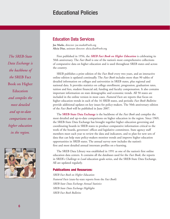# Educational Policies

Education Data Services

**Joe Marks**, director: joe.marks@sreb.org **Alicia Diaz,** assistant director: alicia.diaz@sreb.org

First published in 1956, the *SREB Fact Book on Higher Education* is celebrating its 50th anniversary. The *Fact Book* is one of the nation's most comprehensive collections of comparative data on higher education and is used throughout SREB states and across the country.

SREB publishes a print edition of the *Fact Book* every two years, and an interactive online edition is updated continually. The *Fact Book* includes more than 90 tables of detailed information on colleges and universities in SREB states, plus regional and national data. It provides statistics on college enrollment, progression, graduation rates, tuition and fees, student financial aid, funding and faculty compensation. It also contains important information on state demographic and economic trends. All 50 states are included in the online version in most cases. *Featured Facts* are reports that focus on higher education trends in each of the 16 SREB states, and periodic *Fact Book Bulletins* provide additional updates on key issues for policy-makers. The 50th anniversary edition of the *Fact Book* will be published in June 2007.

The **SREB-State Data Exchange** is the backbone of the *Fact Book* and compiles the most detailed and up-to-date comparisons on higher education in the region. Since 1969, the SREB-State Data Exchange has brought together higher education governing and coordinating boards in SREB states to produce comparative information critical to the work of the boards, governors' offices and legislative committees. State agency staff members meet each year to review the data and indicators, and to plan for new sets of data that can help state policy-makers monitor trends and improve higher education opportunities in SREB states. The annual survey now includes the nation's first and most detailed annual interstate profiles on e-learning.

The SREB Data Library was established in 1991 as one of the nation's first online education data centers. It contains all the databases used for the *Fact Book*, the reports in SREB's *Challenge to Lead* education goals series, and the SREB-State Data Exchange. All are updated regularly.

#### **Publications and Resources:**

*SREB Fact Book on Higher Education Featured Facts* (state-by-state reports from the *Fact Book*) *SREB-State Data Exchange Annual Statistics SREB-State Data Exchange Highlights SREB Fact Book Bulletins*

*The SREB-State Data Exchange is the backbone of the* SREB Fact Book on Higher Education *and compiles the most detailed and up-to-date comparisons on higher education in the region.*

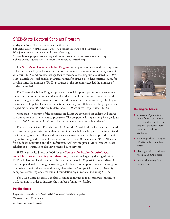## **SREB-State Doctoral Scholars Program**

**Ansley Abraham,** director: ansley.abraham@sreb.org **Bob Belle,** director, SREB-AGEP Doctoral Scholars Program: bob.belle@sreb.org **Walt Jacobs,** senior consultant: walt.jacobs@sreb.org **Melissa Koran,** program accounting and Institute coordinator: melissa.koran@sreb.org **Robbie Ouzts,** student services coordinator: robbie.ouzts@sreb.org

The **SREB-State Doctoral Scholars Program** in the past year celebrated two important milestones in its 14-year history. In its effort to increase the number of minority students who earn Ph.D.s and become college faculty members, the program celebrated its 300th Mark Musick Doctoral Scholar graduate, named for SREB's president emeritus. Also, for the first time, the number of Ph.D. graduates in the program exceeded the number of students enrolled.

The Doctoral Scholars Program provides financial support, professional development, mentoring and other services to doctoral students at colleges and universities across the region. The goal of the program is to reduce the severe shortage of minority Ph.D. graduates and college faculty across the nation, especially in SREB states. The program has helped more than 700 scholars to date. About 300 are currently pursuing Ph.D.s.

More than 75 percent of the program's graduates are employed on college and university campuses, and 16 are tenured professors. The program will surpass the 350th graduate mark in 2007, furthering its effort to be "more than a check and a handshake."

The National Science Foundation (NSF) and the Alfred P. Sloan Foundation currently support the program with more than \$3 million for scholars who participate in affiliated doctoral programs. At colleges and universities across the nation, SREB provides mentoring, networking and job search assistance to more than 300 scholars in NSF's Alliances for Graduate Education and the Professoriate (AGEP) programs. More than 200 Sloan scholars at 89 institutions also have received such services.

SREB was the lead host in 2006 for the **Compact for Faculty Diversity's 13th annual Institute on Teaching and Mentoring**, the nation's largest gathering of minority Ph.D. scholars and faculty mentors. It drew more than 1,000 participants to Miami for leadership and skills training, networking and job recruiting opportunities. Focusing on minority graduate education and faculty diversity, the Compact for Faculty Diversity comprises several regional, federal and foundation organizations, including SREB.

The SREB-State Doctoral Scholars Program continues to make progress, but much work remains in order to increase the number of minority faculty.

#### **Publications:**

*Capstone Graduates: The SREB-AGEP Doctoral Scholars Program Thirteen Years, 300 Graduates Investing in Future Faculty*



#### **The program boasts:**

- a retention/graduation rate of nearly 90 percent — more than double the national persistence rate for minority doctoral students.
- an average time-to-degree (Ph.D.) of less than five years.
- $\blacksquare$  that eight of 10 graduates work in an SREB state.
- nationwide recognition for excellence.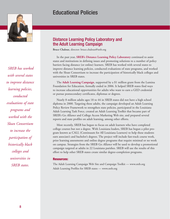# Educational Policies



*SREB has worked with several states to improve distance learning policies, conducted evaluations of state programs and worked with the Sloan Consortium to increase the participation of historically black colleges and universities in SREB states.*

## Distance Learning Policy Laboratory and the Adult Learning Campaign

**Bruce Chaloux**, director: bruce.chaloux@sreb.org

In the past year, **SREB's Distance Learning Policy Laboratory** continued to assist states and institutions in defining issues and promoting solutions to a number of policy barriers facing distance (or online) learners. SREB has worked with several states to improve distance learning policies, conducted evaluations of state programs, and worked with the Sloan Consortium to increase the participation of historically black colleges and universities in SREB states.

The **Adult Learning Campaign**, supported by a \$1 million grant from the Lumina Foundation for Education, formally ended in 2006. It helped SREB states find ways to increase educational opportunities for adults who want to earn a GED credential or pursue postsecondary certificates, diplomas or degrees.

Nearly 8 million adults ages 18 to 44 in SREB states did not have a high school diploma in 2000. Targeting these adults, the campaign developed an Adult Learning Policy Review Framework to strengthen state policies, participated in the Louisiana Adult Learning Task Force, created an Adult Learning Toolkit that became part of SREB's Go *Alliance* and College Access Marketing Web site, and prepared several reports and state profiles on adult learning, among other efforts.

Most recently, SREB has begun to focus on adult learners who have completed college courses but not a degree. With Louisiana leaders, SREB has begun a pilot program known as CALL (Continuum for All Louisiana Learners) to help these students earn associate's and bachelor's degrees. The project will include fast-track course work, prior learning assessments and online degree programs that require minimal or no work on campus. Strategies from the SREB Go *Alliance* will be used to develop a promotional campaign targeted at adults in 22 Louisiana parishes. SREB will use the results of this effort to help other SREB states create similar degree-completion programs.

### **Resources:**

The Adult Learning Campaign Web Site and Campaign Toolkit — www.sreb.org Adult Learning Profiles for SREB states — www.sreb.org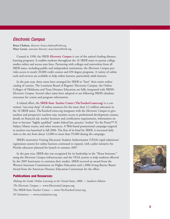### Electronic Campus

**Bruce Chaloux**, director: bruce.chaloux@sreb.org **Mary Larson**, associate director: mary.larson@sreb.org

Created in 1998, the SREB *Electronic Campus* is one of the nation's leading distance learning programs. It enables students throughout the 16 SREB states to pursue college studies online and across state lines. Partnering with colleges and universities from all SREB states, including public and independent institutions, the *Electronic Campus* provides access to nearly 20,000 credit courses and 650 degree programs. A variety of online tools and services are available to help online learners, particularly adult learners.

In the past year, three states have arranged for SREB to "host" their entire online catalog of courses. The Louisiana Board of Regents' Electronic Campus, the Online Colleges of Oklahoma and Texas Distance Education are fully integrated with SREB's *Electronic Campus*. Several other states have adopted or are following SREB's database structures for course and program information.

A related effort, the **SREB-State Teacher Center (TheTeacherCenter.org)** is a convenient "one-stop shop" of online resources for the more than 2.2 million educators in the 16 SREB states. TheTeacherCenter.org integrates with the *Electronic Campus* to give teachers and prospective teachers easy, anytime access to professional development courses, details on financial aid, teacher licensure and certification requirements, information on how to become "highly qualified" under federal law, practice "testlets" for the Praxis™ II Subject Matter exams, and other resources. A Web-based promotional campaign targeted to teachers was launched in fall 2006. The first of its kind for SREB, it increased daily visits to the site from about 12,000 to more than 95,000 during the campaign.

SREB's innovative Visiting Electronic Student Authorization (VESA) rapid admisions/ registration system for online learners continued to expand, with a pilot initiative for Florida educators planned for launch in summer 2007.

In the past year, SREB also was recognized for its leadership in the "Sloan Semester," using the *Electronic Campus* infrastructure and the VESA system to help students affected by the 2005 hurricanes to continue their studies. SREB received an award from the Western Interstate Commission on Higher Education and a 2006 Irving-Barrier Buster Award from the American Distance Education Consortium for the effort.

#### **Publications and Resources:**

*Making the Grade: Online Learning in the United States, 2006 — Southern Edition The Electronic Campus —* www.ElectronicCampus.org The SREB-State Teacher Center *—* www.TheTeacherCenter.org *EC* Initiatives *—* www.ecinitiatives.org

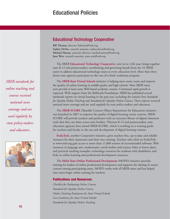# Educational Policies

## Educational Technology Cooperative

**Bill Thomas**, director: bthomas@sreb.org **Audrey DeVoe**, research assistant: audrey.devoe@sreb.org **Michael Murray**, associate director: michael.murray@sreb.org **June Weis**, research associate: june.weis@sreb.org

The SREB **Educational Technology Cooperative**, now in its 12th year, brings together state K-12 and postsecondary coordinating and governing boards from the 16 SREB states to address educational technology issues at every education level. More than three dozen state agencies participate in this one-of-a-kind, multistate program.

The **SREB-State Virtual Schools** initiative is helping more states create and improve the quality of online learning in middle grades and high schools. Most SREB states now provide at least some Web-based academic courses. Continued rapid growth is expected. With support from the BellSouth Foundation, SREB has published several landmark reports on virtual learning in the past year, including the nation's first *Standards for Quality Online Teaching* and *Standards for Quality Online Courses*. These reports received national news coverage and are used regularly by state policy-makers and educators.

The **SREB-SCORE** (Sharable Content Object Repositories for Education) initiative was launched in 2007 to improve the quality of digital learning course content. SREB-SCORE will provide teachers and professors with an extensive library of digital classroom tools that they can share across state borders. Thirteen K-12 and postsecondary state education agencies have joined SREB-SCORE, which is working on a training guide for teachers and faculty in the use and development of digital learning content.

**EvaluTech**, another Cooperative initiative, gives teachers free, up-to-date and reliable resources for their classrooms and their own training. Teachers who click on EvaluTech at www.sreb.org gain access to more than 11,000 reviews of recommended software; Web resources in language arts, mathematics, social studies and science; links to lesson plans and practical teaching examples; technology resources for students with disabilities; and links to online learning and professional development resources.

The **Multi-State Online Professional Development** (MOPD) initiative provides training for leaders of online professional development and supports the sharing of course content among participating states. MOPD works with all SREB states and has helped nine states begin online training for teachers.

### **Publications and Resources:**

*Checklist for Evaluating Online Courses Standards for Quality Online Courses Online Teaching Evaluation for State Virtual Schools Cost Guidelines for State Virtual Schools Standards for Quality Online Teaching* 

*SREB standards for online teaching and courses received national news coverage and are used regularly by state policy-makers and educators.*

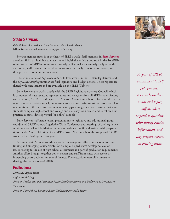### 11

State Services

**Gale Gaines**, vice president, State Services: gale.gaines@sreb.org **Jeffrey Grove**, research associate: jeffrey.grove@sreb.org

Serving member states is at the heart of SREB's work. Staff members in **State Services** are often SREB's initial link to executive and legislative officials and staff in the 16 SREB states. As part of SREB's commitment to help policy-makers accurately analyze trends and topics, staff members respond to questions with timely, concise information, and they prepare reports on pressing issues.

The annual series of *Legislative Reports* follows events in the 16 state legislatures, and the *Legislative Briefing* summarizes final legislative and budget actions. These reports are shared with state leaders and are available on the SREB Web site.

State Services also works closely with the SREB Legislative Advisory Council, which is composed of state senators, representatives and delegates from all SREB states. Among recent actions, SREB helped Legislative Advisory Council members to focus on the development of state policies to help more students make successful transitions from each level of education to the next; to close achievement gaps among students; to ensure that more students complete high school and college and are ready for a career; and to follow best practices as states develop virtual (or online) schools.

State Services staff made several presentations to legislative and educational groups, coordinated SREB's annual Legislative Work Conference and meetings of the Legislative Advisory Council and legislative- and executive-branch staff, and assisted with preparations for the Annual Meeting of the SREB Board. Staff members also supported SREB's work on the *Challenge to Lead* goals.

At times, State Services coordinates other meetings and efforts in response to continuing and emerging issues. SREB, for example, helped states develop policies on issues relating to the use of high school assessments as a part of graduation requirements. Another effort brought together policy-makers and staff from states with recent or impending court decisions on school finance. These activities exemplify interstate sharing, the cornerstone of SREB.

### **Publications:**

*Legislative Report* series *Legislative Briefing Focus on Teacher Pay and Incentives: Recent Legislative Actions and Update on Salary Averages State Notes Focus on State Policies Limiting Excess Undergraduate Credit Hours*

*As part of SREB's commitment to help policy-makers accurately analyze trends and topics, staff members respond to questions with timely, concise information, and they prepare reports on pressing issues.*

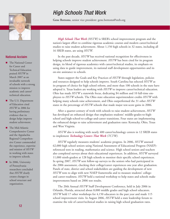# High Schools That Work

**Gene Bottoms**, senior vice president: gene.bottoms@sreb.org

*High Schools That Work (HSTW)* is SREB's school improvement program and the nation's largest effort to combine rigorous academic courses and modern career/technical studies to raise student achievement. About 1,150 high schools in 32 states, including all 16 SREB states, are using *HSTW*.

In the past decade, *HSTW* has received national recognition for effectiveness in helping schools improve student achievement. *HSTW* has been cited for its program design, its blend of rigorous academics with career/technical studies, its emphasis on using data to guide improvement, its national staff development opportunities and its on-site assistance to schools.

States support the Goals and Key Practices of *HSTW* through legislation, policies and resources designed to help schools improve. South Carolina has selected *HSTW* as its program of choice for high school reform, and more than 100 schools in the state have adopted it. Texas leaders are working with *HSTW* to improve career/technical education. Ohio has made *HSTW* a statewide focus, dedicating \$4 million and 10 full-time employees to *HSTW* schools. The Ohio state education superintendent credits *HSTW* with helping many schools raise achievement, and Ohio outperformed the 31 other *HSTW* states in the percentage of *HSTW* schools that made major test-score gains in 2006.

After a quarter-century of work with schools to raise student achievement, *HSTW* has developed an enhanced design that emphasizes students' middle-grades-to-highschool and high-school-to-college-and-career transitions. Four states are implementing the enhanced design to raise achievement and graduation rates: Kentucky, Ohio, Texas and West Virginia.

*HSTW* also is working with nearly 400 career/technology centers in 12 SREB states to implement *Technology Centers That Work (TCTW)*.

*HSTW* regularly measures students' academic progress. In 2006, *HSTW* assessed 62,000 high school seniors using National Assessment of Educational Progress (NAEP) referenced tests in reading, mathematics and science. High school seniors and teachers also completed surveys about their educational experiences. In addition, *HSTW* surveyed 11,000 ninth-graders at 128 high schools to monitor their specific school experiences. In spring 2007, *HSTW* sent follow-up surveys to the seniors who had participated in the 2006 assessment, checking their college/career experiences one year after graduation. Panels of state, district and school stakeholders are guiding the development of new *HSTW* tests to align with new NAEP frameworks and to measure students' collegeand career-readiness. *HSTW* held a national workshop to help states and schools make improvements based on 2006 test results.

The 20th Annual *HSTW* Staff Development Conference, held in July 2006 in Orlando, Florida, attracted about 8,000 middle grades and high school educators. *HSTW* held 17 other workshops for 4,150 educators in the past year and made 115 school improvement visits. In August 2006, *HSTW* held a state leadership forum to examine the role of career/technical studies in raising high school graduation rates.

### National Acclaim

AII

- The National Center for Career and Technical Education praised *HSTW* in March 2007 as an invaluable network of schools with a strong mission to improve academic and career/ technical education.
- The U.S. Department of Education cited *HSTW* in 2006 for having preliminary evidence that its design helps improve student achievment.
- The Mid-Atlantic Comprehensive Center and the Appalachia Regional Comprehensive Center commended the experience, expertise and mission of *HSTW* in working with states to improve schools.
- In 2006, University of Pennsylvania researchers concluded that *HSTW* clearly creates changes in school structure and organization.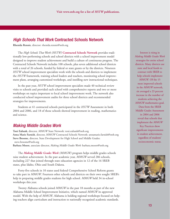### High Schools That Work Contracted Schools Network

**Rhenida Rennie**, director: rhenida.rennie@sreb.org

The *High Schools That Work (HSTW)* **Contracted Schools Network** provides traditionally low-performing schools and school districts with a school improvement model designed to improve student achievement and build a culture of continuous progress. The Contracted Schools Network includes 100 schools, plus seven additional school districts with a total of 26 schools, funded by federal or state grants or by the districts. Nineteen *HSTW* school improvement specialists work with the schools and districts to implement the *HSTW* framework, training school leaders and teachers, monitoring school improvement plans, arranging customized workshops, and instilling new instructional techniques.

In the past year, *HSTW* school improvement specialists made 40 technical review visits to schools and provided each school with comprehensive reports and two or more workshops on topics important to local school improvement work. The network also conducted school improvement audits for three school districts and recommended strategies for improvements.

Students at 41 contracted schools participated in the *HSTW* Assessment in both 2004 and 2006, and 18 of those schools showed improvement in reading, mathematics and science.

### Making Middle Grades Work

**Toni Eubank**, director, *MMGW* State Network: toni.eubank@sreb.org **Anna Marie Farnish**, director, *MMGW* Contracted Schools Network: annamarie.farnish@sreb.org **Steve Broome**, director, State Development for High School and Middle Grades: steve.broome@sreb.org **Barbara Moore**, associate director, *Making Middle Grades Work:* barbara.moore@sreb.org

The *Making Middle Grades Work (MMGW)* program helps middle grades schools raise student achievement. In the past academic year, *MMGW* served 286 schools, including 227 that joined through state education agencies in 12 of the 16 SREB states, plus Idaho, Ohio and South Dakota.

Forty-five schools in 10 states used federal Comprehensive School Reform grants to take part in *MMGW*. Fourteen other schools and districts on their own sought SREB's help in preparing middle grades students for high school. *MMGW* held 34 in-school workshops this year.

Twenty Alabama schools joined *MMGW* in the past 18 months as part of the new Alabama Middle School Improvement Initiative, which named *MMGW* its approved model. With the help of *MMGW*, Alabama is holding regional workshops focused on helping teachers align curriculum and instruction to nationally recognized academic standards.

Interest is rising in *Making Middle Grades Work* strategies for entire school districts. Many districts use state and local funds to contract with SREB to help schools implement *MMGW*. Of the 15 most improved schools in the *MMGW* network, six averaged a 23 percent increase in the number of students achieving the *MMGW* mathematics goal. Data from the SREB Middle Grades Assessment in 2004 and 2006 reveal that schools that implement the *MMGW* Key Practices show significant improvements in student achievement, regardless of students' socioeconomic status.

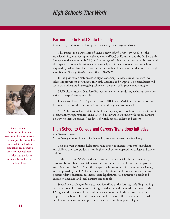# High Schools That Work



States are putting information from the transitions forums to work. For example, Kentucky has reworked its high school graduation requirements and convened task forces to delve into the issues of remedial studies and dual enrollment.

### Partnership to Build State Capacity

**Yvonne Thayer**, director, Leadership Development: yvonne.thayer@sreb.org

This project is a partnership of SREB's *High Schools That Work* (*HSTW*), the Appalachia Regional Comprehensive Center (ARCC) at Edvantia, and the Mid-Atlantic Comprehensive Center (MACC) at The George Washington University. It aims to build the capacity of state education agencies to help traditionally low-performing schools as required by federal law. The program uses research and best practices developed through *HSTW* and *Making Middle Grades Work* (*MMGW*).

In the past year, SREB provided eight leadership training sessions to state-level school improvement consultants in North Carolina and Virginia. The consultants will work with educators in struggling schools on a variety of improvement strategies.

SREB also created a Data Use Protocol for states to use during technical assistance visits to low-performing schools.

For a second year, SREB partnered with ARCC and MACC to sponsor a forum for state leaders on the transition from the middle grades to high school.

SREB also worked with states to build the capacity of schools and districts to meet accountability requirements. SREB assisted Delaware in working with school districts on ways to increase students' readiness for high school, college and careers.

## High School to College and Careers Transitions Initiative

**Ann Benson**, director

**Marna Young**, director, Research for School Improvement: marna.young@sreb.org

This two-year initiative helps states take action to increase students' knowledge and skills so they can graduate from high school better prepared for college and career training.

In the past year, *HSTW* held state forums on this crucial subject in Alabama, Georgia, Texas, Hawaii and Montana. Fifteen states have had forums in the past two years. Sponsored by SREB and the League for Innovation in the Community College, and supported by the U.S. Department of Education, the forums drew leaders from postsecondary education, businesses, state legislatures, state education boards and education agencies, and local districts and schools.

Several key challenges for states were identified at the forums, including: the high percentage of college students requiring remediation and the need to strengthen the 12th grade; the lack of college- and career-readiness standards in most states; the need to prepare teachers to help students meet such standards; the lack of effective dual enrollment policies; and completion rates at two- and four-year colleges.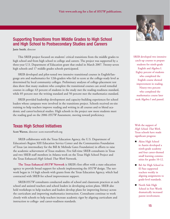## Supporting Transitions from Middle Grades to High School and High School to Postsecondary Studies and Careers

**Janie Smith**, director

This SREB project focused on students' critical transitions from the middle grades to high school and from high school to college and careers. The project was supported by a three-year U.S. Department of Education grant that ended in March 2007. Twenty-seven high schools and 17 middle grades schools participated.

SREB developed and pilot-tested two intensive transitional courses in English/language arts and mathematics for 12th-graders who fail to score at the college-ready level as determined by local community colleges. Preliminary analyses of college-placement test data show that many students who complete the transitional courses can avoid remedial courses in college: 63 percent of students in the study met the reading-readiness standard, while 85 percent met the writing standard and 50 percent met the mathematics standard.

SREB provided leadership development and capacity-building experiences for school leaders whose campuses were involved in the transitions project. Schools received on-site training to help teachers improve reading and writing in all courses and to blend academic and career/technical studies. High schools in the project saw more students meet the reading goal on the 2006 *HSTW* Assessment, moving toward proficiency.

## Texas High School Initiatives

**Scott Warren**, director: scott.warren@sreb.org

SREB collaborates with the Texas Education Agency, the U.S. Department of Education's Region XIII Education Service Center and the Communities Foundation of Texas (an intermediary for the Bill & Melinda Gates Foundation) in efforts to raise the academic achievement of Texas students. Five full-time SREB consultants in Texas and two SREB staff members in Atlanta work on the Texas High School Project and the Texas Enhanced *High Schools That Work* Network.

**The Texas Enhanced** *HSTW* **Network** is SREB's first effort with a state education agency to provide broad support for schools implementing the *HSTW* design. The network began in 14 high schools with grants from the Texas Education Agency, which had contracted with SREB for school improvement support.

SREB/*HSTW* consultants conducted audits of school and classroom practices at each school and assisted teachers and school leaders in developing action plans. SREB also held workshops to help teachers and leaders develop plans for improving literacy across the curriculum and improving mathematics instruction. Consultants continue to work closely with schools to help teachers increase academic rigor by aligning curriculum and instruction to college- and career-readiness standards.



SREB developed two intensive catch-up courses to prepare students for ninth-grade English and Algebra I. Eighty percent of students who completed the English course showed improvement in reading. Ninety-two percent who completed the mathematics course later took Algebra I and passed.

With the support of *High Schools That Work*, Texas schools have made significant progress:

- Akins High School in Austin developed a ninth-grade academy and four career-themed small learning communities for grades 10-12.
- Bel Air High School in El Paso supported teachers weekly in aligning assignments to grade-level standards.
- North Side High School in Fort Worth dramatically increased parent involvement.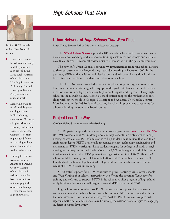# High Schools That Work



Services SREB provided in the Urban Network include:

- Leadership training for educators in every middle grades and high school in the Little Rock, Arkansas, school district on "Getting Students to Proficiency Through Looking at Teacher Assignments and Student Work."
- Leadership training for all middle grades and high schools in Bibb County, Georgia, on "Creating a High-Performance Learning Culture and Using Data to Lead Change." The training included followup coaching to help school leaders raise student achievement.
- Training for science teachers from the Atlanta and DeKalb County, Georgia, school districts in writing standardsbased instructional units for physical science and biology — two courses with high failure rates.

## Urban Network of High Schools That Work Sites

**Linda Dove**, director, Urban Initiatives: linda.dove@sreb.org

The *HSTW* **Urban Network** provides 106 schools in 14 school districts with technical assistance, coaching and site-specific training customized for schools and districts. *HSTW* conducted 16 technical review visits to urban schools in the past academic year.

The network's Urban Council convened 93 representatives from nine school districts to share successes and challenges during a two-day meeting in February 2007. In the past year, SREB worked with school districts on standards-based instructional units to help infuse state academic standards into classroom teaching.

The Urban Network also aided schools in implementing ninth-grade, standardsbased instructional units designed to equip middle-grades students with the skills they need for success in college-preparatory high school English and Algebra I. Every high school in the DeKalb County, Georgia, school district adopted the mathematics unit, along with other schools in Georgia, Mississippi and Arkansas. The Charles Stewart Mott Foundation funded 10 days of coaching by school improvement consultants for schools adopting the standards-based courses.

## Project Lead The Way

**Carolyn Helm**, director: carolyn.helm@sreb.org

SREB's partnership with the national, nonprofit organization **Project Lead The Way** (PLTW) provides about 550 middle grades and high schools in SREB states with engineering-related courses. PLTW's mission is to help students take courses that lead to an engineering degree. PLTW's nationally recognized science, technology, engineering and mathematics (STEM) curriculum helps students prepare for college-level study in engineering technology and related fields. More than 2,000 middle grades and high schools in 47 states will teach the PLTW pre-engineering curriculum in fall 2007. About 140 schools in SREB states joined PLTW in fall 2006, and 85 schools are joining in 2007. Hundreds of teachers will gather at 28 colleges and universities this summer for two weeks of PLTW curriculum training.

SREB states' support for PLTW continues to grow. Kentucky assists seven schools and West Virginia four schools, respectively, in offering the program. Texas pays for training and software to support PLTW in its schools. A pilot program of high school study in biomedical sciences will begin in several SREB states in fall 2007.

High school students who took PLTW courses and four years of mathematics and science scored at high levels on those subjects on an SREB exam aligned with the National Assessment of Educational Progress (NAEP). PLTW courses, coupled with rigorous mathematics and science, may be among the nation's best strategies for engaging students in higher-level study.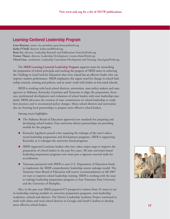## **Learning-Centered Leadership Program**

**Gene Bottoms**, senior vice president: gene.bottoms@sreb.org **Kathy O'Neill**, director: kathy.oneill@sreb.org **Betty Fry**, director, Leadership Research and Publications: betty.fry@sreb.org **Yvonne Thayer**, director, Leadership Development: yvonne.thayer@sreb.org **Cheryl Gray**, coordinator, Leadership Curriculum Development and Training: cheryl.gray@sreb.org

The **SREB Learning-Centered Leadership Program** supports states by researching the preparation of school principals and tracking the progress of SREB states in achieving the *Challenge to Lead* Goal for Education that every school has an effective leader who can improve student performance. SREB emphasizes the urgent need for change in school leadership research, training and policies, and in states' work with leaders in low-rated schools.

SREB is working with local school districts, universities, state policy-makers and state agencies in Alabama, Kentucky, Louisiana and Tennessee to align the preparation, licensure, professional development and evaluation of school leaders with state leadership standards. SREB advocates the creation of state commissions on school leadership to study best practices and to recommend policy changes. Many school districts and universities also are forming local partnerships to prepare more effective school leaders.

Among recent highlights:

- The Alabama Board of Education approved new standards for preparing and developing school leaders. Four university-district partnerships are providing models for the program.
- Kentucky legislators passed a law requiring the redesign of the state's educational leadership preparation and development programs. SREB is supporting Kentucky as it redesigns the university-based programs.
- **SREB** supported Louisiana leaders who have taken major steps to improve the preparation of school leaders in the past five years. All state university-based leadership preparation programs now must pass a rigorous external audit for accreditation.
- Tennessee partnered with SREB to earn U.S. Department of Education funds to implement the SREB comprehensive leadership system redesign model. The Tennessee State Board of Education will receive recommendations in fall 2007 on ways to improve school leadership training. SREB is working with the state to redesign leadership preparation programs at East Tennessee State University and the University of Memphis.

Also, in the past year SREB prepared 675 prospective trainers from 32 states to use its leadership training modules in university preparation programs, state leadership academies, schools and districts. The District Leadership Academy Project continued to work with urban and rural school districts in Georgia and South Carolina to develop more effective school leaders.

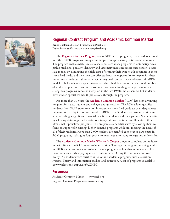

## Regional Contract Program and Academic Common Market

**Bruce Chaloux**, director: bruce.chaloux@sreb.org **Dawn Perry**, staff associate: dawn.perry@sreb.org

The **Regional Contract Program**, one of SREB's first programs, has served as a model for other SREB programs through one simple concept: sharing institutional resources. The program enables SREB states to share postsecondary programs in optometry, osteopathic medicine, podiatry, dentistry and veterinary medicine across state borders. States save money by eliminating the high costs of creating their own health programs in these specialized fields, and they then can offer students the opportunity to prepare for these professions at reduced tuition rates. Other regional compacts have followed this SREB model. It helps schools keep admission standards high because of the increased number of student applications, and it contributes out-of-state funding to help maintain and strengthen programs. Since its inception in the late 1940s, more than 22,400 students have studied specialized health professions through the program.

For more than 30 years, the **Academic Common Market** (ACM) has been a winning program for states, students and colleges and universities. The ACM allows qualified residents from SREB states to enroll in extremely specialized graduate or undergraduate programs offered by institutions in other SREB states. Students pay in-state tuition and fees, providing a significant financial benefit to students and their parents. States benefit by allowing state-supported institutions to operate with optimal enrollments in these often small, specialized programs. The program also benefits states by allowing them to focus on support for existing, higher-demand programs while still meeting the needs of all of their residents. More than 2,000 students are certified each year to participate in ACM programs, making its four-year enrollment equal to many colleges and universities.

The **Academic Common Market/***Electronic Campus* program combines online learning with financial relief from out-of-state tuition. Through the program, working adults in SREB states can pursue out-of-state degree programs online that are not available in their home state, while paying in-state tuition rates. During the past academic year, nearly 150 students were certified in 60 online academic programs such as aviation systems, library and information studies, and education. A list of programs is available at www.electronicampus.org/ACMEC.

#### **Resources:**

Academic Common Market — www.sreb.org Regional Contract Program — www.sreb.org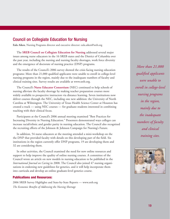## Council on Collegiate Education for Nursing

**Eula Aiken**, Nursing Programs director and executive director: eula.aiken@sreb.org

The **SREB Council on Collegiate Education for Nursing** addressed several major issues among nurse educators in the 16 SREB states and the District of Columbia over the past year, including the nursing and nursing faculty shortages, work force diversity and the emergence of doctorate of nursing practice (DNP) programs.

The results of the Council's 2006 survey showed the crisis facing nursing education programs: More than 21,000 qualified applicants were unable to enroll in college-level nursing programs in the region, mainly due to the inadequate numbers of faculty and clinical training sites. Survey results are available at www.sreb.org.

The Council's **Nurse Educator Consortium** (NEC) continued to help schools of nursing alleviate the faculty shortage by making teacher preparation courses more widely available to prospective instructors via distance learning. Seven institutions now deliver courses through the NEC, including one new addition: the University of North Carolina at Wilmington. The University of Texas Health Science Center at Houston has created a track — using NEC courses — for graduate students interested in combining teaching with their clinical focus.

Participants at the Council's 2006 annual meeting examined "Best Practices for Increasing Diversity in Nursing Education." Presenters demonstrated ways colleges can increase racial/ethnic and gender parity in nursing education. The Council also recognized the recruiting efforts of the Johnson & Johnson Campaign for Nursing's Future.

In addition, 54 nurse educators at the meeting attended a mini-workshop on the the DNP that provided faculty with details on this developing part of the field. Six institutions in the region currently offer DNP programs, 19 are developing them and 32 are considering them.

In other activities, the Council examined the need for new online resources and support to help improve the quality of online nursing courses. A committee of the Council wrote an article on new models in nursing education to be published in the *International Journal on Caring* in 2008. The Council also joined 47 nursing organizations in endorsing new guidelines for genetics, and it will help incorporate them into curricula and develop an online graduate-level genetics course.

#### **Publications and Resources:**

2006 SREB Survey Highlights and State-by-State Reports — www.sreb.org *The Economic Benefits of Addressing the Nursing Shortage*

*More than 21,000 qualified applicants were unable to enroll in college-level nursing programs in the region, mainly due to the inadequate numbers of faculty and clinical training sites.*

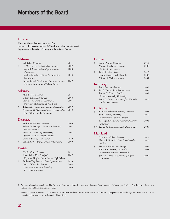# Members of the Board

#### **Officers**

**Governor Sonny Perdue, Georgia,** *Chair* **Secretary of Education Valerie A. Woodruff, Delaware,** *Vice Chair* **Representative Francis C. Thompson, Louisiana,** *Treasurer*

#### **Alabama**

|            | <b>Bob Riley, Governor</b>                     | 2011 |
|------------|------------------------------------------------|------|
| $\ddagger$ | H. Mac Gipson Jr., State Representative        | 2009 |
|            | Joseph B. Morton, State Superintendent         | 2008 |
|            | of Education                                   |      |
|            | Caroline Novak, President, A+ Education        | 2010 |
|            | Foundation                                     |      |
|            | Sandra Sims-deGraffenried, Executive Director, | 2007 |
|            | Alabama Association of School Boards           |      |
|            |                                                |      |

### **Arkansas**

|            | Mike Beebe, Governor                               | 2011 |
|------------|----------------------------------------------------|------|
|            | Gilbert Baker, State Senator                       | 2008 |
|            | Lawrence A. Davis Jr., Chancellor,                 | 2007 |
|            | University of Arkansas at Pine Bluff               |      |
| $\ddagger$ | T. Kenneth James, Commissioner of Education        | 2009 |
|            | Naccaman G. Williams, Senior Program Officer, 2010 |      |
|            | The Walton Family Foundation                       |      |
|            |                                                    |      |

### **Delaware**

|       | Ruth Ann Minner, Governor                   | 2009 |
|-------|---------------------------------------------|------|
|       | Robert W. Rescigno, Senior Vice President,  | 2007 |
|       | <b>Bank of America</b>                      |      |
|       | Patrick E. Savini, Superintendent,          | 2008 |
|       | Sussex Technical School District            |      |
|       | David P. Sokola, State Senator              | 2010 |
| $+ *$ | Valerie A. Woodruff, Secretary of Education | 2009 |
|       |                                             |      |

### **Florida**

|            | Charlie Crist, Governor                     | 2011 |
|------------|---------------------------------------------|------|
|            | Susan Sailor, Vice Principal,               | 2007 |
|            | Keystone Heights Junior/Senior High School  |      |
| $\ddagger$ | Anthony Trey Traviesa, State Representative | 2010 |
|            | John L. Winn, Tallahassee                   | 2008 |
|            | Cheri Pierson Yecke, Chancellor,            | 2009 |
|            | K-12 Public Schools                         |      |

#### **Georgia**

| $\dagger$  | Sonny Perdue, Governor                               | 2011 |
|------------|------------------------------------------------------|------|
|            | Michael F. Adams, President,                         | 2007 |
|            | University of Georgia                                |      |
| $\ddagger$ | Jack Hill, State Senator                             | 2010 |
|            | Sandra Chance Neal, Danville                         | 2008 |
|            | Michael F. Vollmer, Atlanta                          | 2009 |
|            | Kentucky                                             |      |
|            | Ernie Fletcher, Governor                             | 2007 |
| $+ *$      | Jon E. Draud, State Representative                   | 2007 |
|            | Joanne K. Glasser, President,                        | 2008 |
|            | Eastern Kentucky University                          |      |
|            | Laura E. Owens, Secretary of the Kentucky            | 2010 |
|            | <b>Education Cabinet</b>                             |      |
|            | Louisiana                                            |      |
| $\dagger$  | Kathleen Babineaux Blanco, Governor                  | 2008 |
|            | Sally Clausen, President,                            | 2010 |
|            | University of Louisiana System                       |      |
|            | E. Joseph Savoie, Commissioner of Higher             | 2008 |
|            | Education                                            |      |
| $+ *$      | Francis C. Thompson, State Representative            | 2009 |
|            | Maryland                                             |      |
|            | Martin O'Malley, Governor                            | 2011 |
|            | Nancy S. Grasmick, State Superintendent              | 2010 |
|            | of Schools                                           |      |
| $+ *$      | Henry B. Heller, State Delegate                      | 2007 |
|            | William E. Kirwan, Chancellor,                       | 2008 |
|            | University System of Maryland                        |      |
|            | James E. Lyons Sr., Secretary of Higher<br>Education | 2009 |
|            |                                                      |      |

<sup>†</sup> *Executive Committee member* — The Executive Committee has full power to act between Board meetings. It is composed of one Board member from each state and several from the region at large.

<sup>\*</sup> *Finance Committee member* — The Finance Committee, a subcommittee of the Executive Committee, prepares an annual budget and presents it and other financial policy matters to the Executive Committee.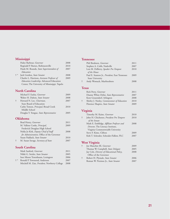### **Mississippi**

|       | Haley Barbour, Governor                       | 2008 |
|-------|-----------------------------------------------|------|
|       | Reginald P. Barnes, Robinsonville             | 2010 |
|       | Hank M. Bounds, State Superintendent of       | 2007 |
|       | Education                                     |      |
| $+ *$ | Jack Gordon, State Senator                    | 2008 |
|       | Charles L. Harrison, Assistant Professor of   | 2009 |
|       | Education Leadership, Advanced Education      |      |
|       | Center, The University of Mississippi, Tupelo |      |
|       |                                               |      |
|       |                                               |      |

### **North Carolina**

|           | Michael F. Easley, Governor                    | 2009 |
|-----------|------------------------------------------------|------|
|           | Walter H. Dalton, State Senator                | 2008 |
| $\dagger$ | Howard N. Lee, Chairman,                       | 2007 |
|           | State Board of Education                       |      |
|           | Cathy Tomon, <i>Principal</i> , Broad Creek    | 2010 |
|           | Middle School                                  |      |
|           | Douglas Y. Yongue, <i>State Representative</i> | 2005 |
|           |                                                |      |

### **Oklahoma**

|   | Brad Henry, Governor                       | 2011 |
|---|--------------------------------------------|------|
|   | M. Vallene Cooks, Principal,               | 2009 |
|   | Frederick Douglass High School             |      |
|   | Nelda Jo Kirk, Deputy Chief of Staff       | 2008 |
|   | for Administration, Office of the Governor |      |
|   | Susan Paddack, State Senator               | 2010 |
| ÷ | M. Susan Savage, Secretary of State        | 2007 |
|   |                                            |      |

### **South Carolina**

|       | Mark Sanford, <i>Governor</i>                         | 2011 |
|-------|-------------------------------------------------------|------|
|       | Nikki G. Setzler, State Senator                       | 2005 |
|       | Inez Moore Tenenbaum, Lexington                       | 2006 |
| $+ *$ | Ronald P. Townsend, Anderson                          | 2007 |
|       | Mitchell M. Zais, <i>President</i> , Newberry College | 2008 |

### **Tennessee**

|   | Phil Bredesen, Governor                        | 2011 |
|---|------------------------------------------------|------|
|   | Stephen A. Cobb, Nashville                     | 2007 |
|   | Lois M. DeBerry, Speaker Pro Tempore           | 2010 |
|   | of the House                                   |      |
|   | Paul E. Stanton Jr., President, East Tennessee | 2009 |
|   | State University                               |      |
| ÷ | Andy Womack, Murfreesboro                      | 2008 |
|   |                                                |      |

### **Texas**

| Rick Perry, Governor                                     | 2011 |
|----------------------------------------------------------|------|
| Dianne White Delisi, State Representative                | 2007 |
| Kent Grusendorf, Arlington                               | 2008 |
| t<br>Shirley J. Neeley, <i>Commissioner of Education</i> | 2010 |
| Florence Shapiro, State Senator                          | 2009 |

## **Virginia**

|   | Timothy M. Kaine, Governor                | 2010 |
|---|-------------------------------------------|------|
| ÷ | John H. Chichester, President Pro Tempore | 2010 |
|   | of the Senate                             |      |
|   | Mark E. Emblidge, Affiliate Professor and | 2008 |
|   | Director, The Literacy Institute,         |      |
|   | Virginia Commonwealth University          |      |
|   | Steve F. Kime, Clifton                    | 2009 |
|   | Kirk T. Schroder, Schroder-Fidlow, PLC    | 2007 |
|   |                                           |      |

## **West Virginia**

| Joe Manchin III, Governor                 | 2009 |
|-------------------------------------------|------|
| Thomas W. Campbell, State Delegate        | 2005 |
| Jay Cole, Director of Educational Policy, | 2008 |
| Office of the Governor                    |      |
| t<br>Robert H. Plymale, State Senator     | 2006 |
| Roman W. Prezioso Jr., State Senator      | 2007 |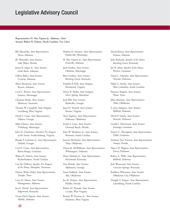## Legislative Advisory Council

**Representative H. Mac Gipson Jr., Alabama,** *Chair* **Senator Walter H. Dalton, North Carolina,** *Vice Chair*

Bill Abernathy, *State Representative,* Mena, Arkansas

JD Alexander, *State Senator*, Lake Wales, Florida

James B. Argue Jr., *State Senator*, Little Rock, Arkansas

Gilbert Baker, *State Senator*, Conway, Arkansas

Shane Broadway, *State Senator,* Bryant, Arkansas

Cecil C. Brown, *State Representative*, Jackson, Mississippi

Charlotte Burks, *State Senator*, Monterey, Tennessee

Thomas W. Campbell, *State Delegate*, Lewisburg, West Virginia

David S. Casas, *State Representative*, Lilburn, Georgia

Mike Chaney, *State Senator*, Vicksburg, Mississippi

John H. Chichester, *President Pro Tempore of the Senate*, Fredericksburg, Virginia

Brooks P. Coleman Jr., *State Representative*, Duluth, Georgia

Carl N. Crane, *State Representative*, Baton Rouge, Louisiana

Walter H. Dalton, *State Senator*, Rutherfordton, North Carolina

Lois M. DeBerry, *Speaker Pro Tempore of the House*, Memphis, Tennessee

Dianne White Delisi, *State Representative*, Temple, Texas

Larry D. Dixon, *State Senator*, Montgomery, Alabama

Jon E. Draud, *State Representative*, Edgewood, Kentucky

Vivian Davis Figures, *State Senator*, Mobile, Alabama

Herbert D. Frierson, *State Representative*, Poplarville, Mississippi

H. Mac Gipson Jr., *State Representative*, Prattville, Alabama

Jack Gordon, *State Senator*, Okolona, Mississippi

Brett Guthrie, *State Senator*, Bowling Green, Kentucky

Franklin P. Hall, *State Delegate*, Richmond, Virginia

Henry B. Heller, *State Delegate*, Silver Spring, Maryland

Jack Hill, *State Senator*, Reidsville, Georgia

Janet D. Howell, *State Senator*, Reston, Virginia

Terry Ingmire, *State Representative*, Stillwater, Oklahoma

Evelyn J. Lynn, *State Senator*, Ormond Beach, Florida

John W. Matthews Jr., *State Senator*, Bowman, South Carolina

Jeannie McDaniel, *State Representative*, Tulsa, Oklahoma

Diana M. McWilliams, *State Representative*, Wilmington, Delaware

Harry Moberly Jr., *State Representative*, Richmond, Kentucky

Dan Moody, *State Senator*, Alpharetta, Georgia

Susan Paddack, *State Senator*, Ada, Oklahoma

Joe H. Pickens, *State Representative*, Palatka, Florida

Robert H. Plymale, *State Senator*, Ceredo, West Virginia

Roman W. Prezioso Jr., *State Senator*, Fairmont, West Virginia

David Rainey, *State Representative,* Dumas, Arkansas

Jody Richards, *Speaker of the House*, Bowling Green, Kentucky

Joe R. Salter, *Speaker of the House*, Florien, Louisiana

Teresa L. Schooley, *State Representative*, Newark, Delaware

Nikki G. Setzler, *State Senator*, West Columbia, South Carolina

Florence Shapiro, *State Senator*, Plano, Texas

Jabar Shumate, *State Representative*, Tulsa, Oklahoma

F. Gary Simpson, *State Senator*, Milford, Delaware

David P. Sokola, *State Senator*, Newark, Delaware

Gerald J. Theunissen, *State Senator*, Jennings, Louisiana

Francis C. Thompson, *State Representative*, Delhi, Louisiana

Anthony Trey Traviesa, *State Representative*, Tampa, Florida

Nancy H. Wagner, *State Representative*, Dover, Delaware

Robert E. Walls, *State Representative*, Milford, Delaware

Jack Westwood, *State Senator*, Crescent Springs, Kentucky

Kathleen Wilcoxson, *State Senator*, Oklahoma City, Oklahoma

Douglas Y. Yongue, *State Representative*, Laurinburg, North Carolina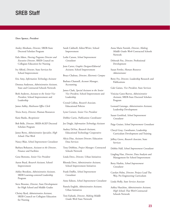# SREB Staff

#### **Dave Spence,** *President*

Ansley Abraham, *Director*, SREB-State Doctoral Scholars Program

Eula Aiken, *Nursing Programs Director and Executive Director*, SREB Council on Collegiate Education for Nursing

Ivy Alford, *Director*, State Services for School Improvement

Eric Amy, *Information Technology Assistant*

Donnea Anderson, *Administrative Assistant*, State and Contracted Schools Network

Beth Andrews, *Assistant to the Senior Vice President*, School Improvement and Leadership

James Ashby, *Mailroom-Office Clerk*

Tricia Avery, *Director*, Human Resources

Katie Banks, *Receptionist*

- Bob Belle, *Director*, SREB-AGEP Doctoral Scholars Program
- James Berto, *Administrative Specialist*, *High Schools That Work*
- Nancy Blair, *School Improvement Consultant*
- Barbara Bohanon, *Assistant to the Director*, Finance and Facilities

Gene Bottoms, *Senior Vice President*

Aaron Boyd, *Research Assistant*, School Improvement

Ashley Brookins, *Administrative Assistant*, SREB Learning-centered Leadership Program

Steve Broome, *Director*, State Development for High School and Middle Grades

Christy Byrd, *Administrative Assistant*, SREB Council on Collegiate Education for Nursing

Sarah Caldwell, *Editor/Writer*, School Improvement

Leslie Carson, *School Improvement Consultant*

Jenn Carter, *Graphic Designer/Editorial Assistant*, School Improvement

Bruce Chaloux, *Director*, *Electronic Campus*

Barbara Channell, *Account Manager*, Accounting

James Clark, *Special Assistant to the Senior Vice President*, School Improvement and Leadership

Crystal Collins, *Research Associate*, Educational Policies

Lynn Cornett, *Senior Vice President*

Debbie Curtis, *Publications Coordinator*

Joe Daigle, *Information Technology Assistant*

Audrey DeVoe, *Research Assistant*, Educational Technology Cooperative

Alicia Diaz, *Assistant Director*, Education Data Services

Tony Dobbins, *Project Manager*, Contracted Schools Network

Linda Dove, *Director*, Urban Initiatives

Rhonda Dove, *Administrative Assistant*, School Improvement Initiatives

Frank Duffin, *School Improvement Consultant*

Anne Edison, *School Improvement Consultant*

Pamela English, *Administrative Assistant*, Urban Initiatives

Toni Eubank, *Director*, *Making Middle Grades Work* State Network

Anna Marie Farnish, *Director*, *Making Middle Grades Work* Contracted Schools **Network** 

Deborah Fite, *Director*, Professional Development

Susan Fowler, *Human Resources Administrator*

Betty Fry, *Director*, Leadership Research and Publications

Gale Gaines, *Vice President*, State Services

Vinicius Gates-Reeves, *Administrative Assistant*, SREB-State Doctoral Scholars Program

Leonard Gatungo, *Administrative Assistant*, Leadership Development

Susan Gottfried, *School Improvement Consultant*

Paige Graiser, *School Improvement Consultant*

Cheryl Gray, *Coordinator*, Leadership Curriculum Development and Training

Jeffrey Grove, *Research Associate*, State Services

Debbie Hall, *School Improvement Consultant*

Lingling Han, *Director*, Data Analysis and Management for School Improvement

Betty Harbin, *School Improvement Consultant*

Carolyn Helm, *Director*, Project Lead The Way, Pre-Engineering Curriculum

Linda Holly, *State Services Associate*

Ashley Hutchins, *Administrative Assistant*, *High Schools That Work* Contracted Schools Network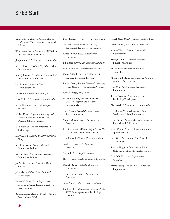# SREB Staff

- Jenny Jackson, *Research Associate/Assistant to the Senior Vice President*, Educational Policies
- Walt Jacobs, *Senior Consultant*, SREB-State Doctoral Scholars Program
- Jim Johnson, *School Improvement Consultant*
- Mary Johnson, *Interim Chief Editor*, School Improvement
- Anna Johnston, *Coordinator*, Summer Staff Development Conference
- Lisa Johnston, *Associate Director*, Communications
- Leticia Jones, *Production Manager*
- Gary Keller, *School Improvement Consultant*
- Alison Knowlton, *Electronic Campus Assistant*
- Melissa Koran, *Program Accounting and Institute Coordinator*, SREB-State Doctoral Scholars Program
- J.J. Kwashnak, *Director*, Information Technology
- Mary Larson, *Associate Director*, *Electronic Campus*
- Matthew Lenard, *Research Associate*, Educational Policies
- Joan M. Lord, *Interim Senior Director*, Educational Policies
- Joe Marks, *Director*, Education Data Services
- John Marsh, *Editor/Writer for School Improvement*
- Kenneth Mason, *School Improvement Consultant*, Urban Initiatives and Project Lead The Way
- Barbara Moore, *Associate Director*, *Making Middle Grades Work*

Bob Moore, *School Improvement Consultant*

- Michael Murray, *Associate Director*, Educational Technology Cooperative
- Renee Murray, *School Improvement Consultant*
- Bill Nagel, *Information Technology Assistant*
- Leslie Noles, *Staff Development Assistant*
- Kathy O'Neill, *Director*, SREB Learning-Centered Leadership Program
- Robbie Ouzts, *Student Services Coordinator*, SREB-State Doctoral Scholars Program
- Rose Partridge, *Receptionist*
- Dawn Perry, *Staff Associate*, Regional Contract Program and Academic Common Market
- Alice Presson, *Special Research Projects*, School Improvement
- Martha Quijano, *School Improvement Consultant*
- Rhenida Rennie, *Director*, *High Schools That Work* Contracted Schools Network
- Alan Richard, *Director*, Communications
- Saralyn Richard, *School Improvement Consultant*
- Samantha Rife, *Staff Accountant*
- Heather Sass, *School Improvement Consultant*
- Michelle Savage, *School Improvement Consultant*
- Anne Simmons, *School Improvement Consultant*
- Susan Smith, *Office Services Coordinator*
- Emily Snider, *Administrative Assistant/Editor*, SREB Learning-centered Leadership Program
- Russell Steel, *Director*, Finance and Facilities
- Joyce Tallman, *Assistant to the President*
- Yvonne Thayer, *Director*, Leadership Development
- Marilyn Thomas, *Research Associate*, Educational Policies
- Bill Thomas, *Director*, Educational Technology
- Allison Timberlake, *Coordinator of Assessment for School Improvement*
- John Uhn, *Research Associate*, School Improvement
- Teresa Valentine, *Research Associate*, Leadership Development
- Alan Veach, *School Improvement Consultant*
- Gay Burden Villarreal, *Director*, State Services for School Improvement
- Susan Walker, *Research Associate*, Leadership Research and Publications
- Scott Warren, *Director*, Texas Initiatives and Special Projects
- June Weis, *Research Associate*, Educational Technology
- Tammy Wright, *Administrative Assistant*, State and Contracted Schools Network
- Gary Wrinkle, *School Improvement Consultant*
- Marna Young, *Director*, Research for School Improvement